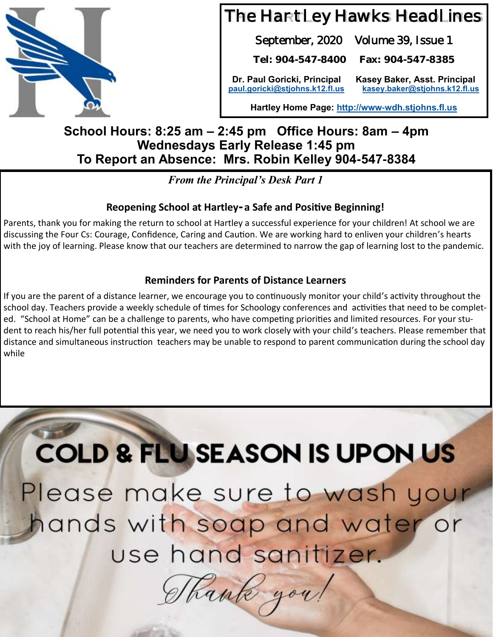

# The Hartley Hawks Headlines

September, 2020 Volume 39, Issue 1

**Tel: 904-547-8400 Fax: 904-547-8385**

**Dr. Paul Goricki, Principal Kasey Baker, Asst. Principal [paul.goricki@stjohns.k12.fl.us](mailto:paul.goricki@stjohns.k12.fl.us) [kasey.baker@stjohns.k12.fl.us](mailto:kasey.baker@stjohns.k12.fl.us)**

**Hartley Home Page:<http://www-wdh.stjohns.fl.us>**

#### **School Hours: 8:25 am – 2:45 pm Office Hours: 8am – 4pm Wednesdays Early Release 1:45 pm To Report an Absence: Mrs. Robin Kelley 904-547-8384**

*From the Principal's Desk Part 1*

#### **Reopening School at Hartley- a Safe and Positive Beginning!**

Parents, thank you for making the return to school at Hartley a successful experience for your children! At school we are discussing the Four Cs: Courage, Confidence, Caring and Caution. We are working hard to enliven your children's hearts with the joy of learning. Please know that our teachers are determined to narrow the gap of learning lost to the pandemic.

#### **Reminders for Parents of Distance Learners**

If you are the parent of a distance learner, we encourage you to continuously monitor your child's activity throughout the school day. Teachers provide a weekly schedule of times for Schoology conferences and activities that need to be completed. "School at Home" can be a challenge to parents, who have competing priorities and limited resources. For your student to reach his/her full potential this year, we need you to work closely with your child's teachers. Please remember that distance and simultaneous instruction teachers may be unable to respond to parent communication during the school day while

**COLD & FLU SEASON IS UPON US** Please make sure to wash your hands with soap and water or use hand sanitizer.

Shank you!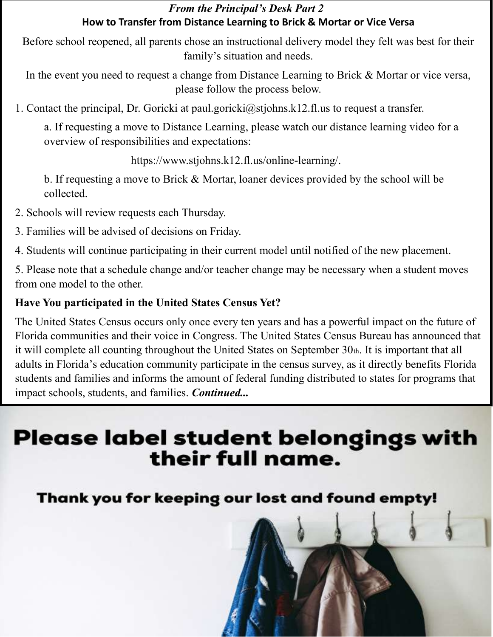#### *From the Principal's Desk Part 2* **How to Transfer from Distance Learning to Brick & Mortar or Vice Versa**

Before school reopened, all parents chose an instructional delivery model they felt was best for their family's situation and needs.

In the event you need to request a change from Distance Learning to Brick & Mortar or vice versa, please follow the process below.

1. Contact the principal, Dr. Goricki at paul.goricki@stjohns.k12.fl.us to request a transfer.

a. If requesting a move to Distance Learning, please watch our distance learning video for a overview of responsibilities and expectations:

https://www.stjohns.k12.fl.us/online-learning/.

b. If requesting a move to Brick & Mortar, loaner devices provided by the school will be collected.

- 2. Schools will review requests each Thursday.
- 3. Families will be advised of decisions on Friday.
- 4. Students will continue participating in their current model until notified of the new placement.

5. Please note that a schedule change and/or teacher change may be necessary when a student moves from one model to the other.

#### **Have You participated in the United States Census Yet?**

The United States Census occurs only once every ten years and has a powerful impact on the future of Florida communities and their voice in Congress. The United States Census Bureau has announced that it will complete all counting throughout the United States on September  $30<sub>th</sub>$ . It is important that all adults in Florida's education community participate in the census survey, as it directly benefits Florida students and families and informs the amount of federal funding distributed to states for programs that impact schools, students, and families. *Continued...* 

# **Please label student belongings with** their full name.

### Thank you for keeping our lost and found empty!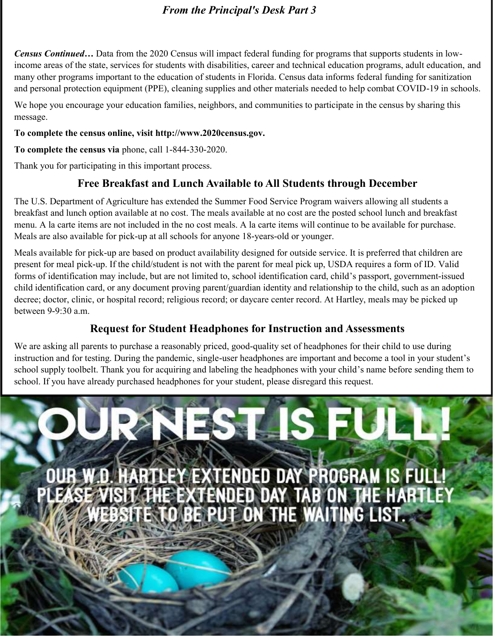#### *From the Principal's Desk Part 3*

*Census Continued…* Data from the 2020 Census will impact federal funding for programs that supports students in lowincome areas of the state, services for students with disabilities, career and technical education programs, adult education, and many other programs important to the education of students in Florida. Census data informs federal funding for sanitization and personal protection equipment (PPE), cleaning supplies and other materials needed to help combat COVID-19 in schools.

We hope you encourage your education families, neighbors, and communities to participate in the census by sharing this message.

**To complete the census online, visit http://www.2020census.gov.** 

**To complete the census via** phone, call 1-844-330-2020.

Thank you for participating in this important process.

#### **Free Breakfast and Lunch Available to All Students through December**

The U.S. Department of Agriculture has extended the Summer Food Service Program waivers allowing all students a breakfast and lunch option available at no cost. The meals available at no cost are the posted school lunch and breakfast menu. A la carte items are not included in the no cost meals. A la carte items will continue to be available for purchase. Meals are also available for pick-up at all schools for anyone 18-years-old or younger.

Meals available for pick-up are based on product availability designed for outside service. It is preferred that children are present for meal pick-up. If the child/student is not with the parent for meal pick up, USDA requires a form of ID. Valid forms of identification may include, but are not limited to, school identification card, child's passport, government-issued child identification card, or any document proving parent/guardian identity and relationship to the child, such as an adoption decree; doctor, clinic, or hospital record; religious record; or daycare center record. At Hartley, meals may be picked up between 9-9:30 a.m.

#### **Request for Student Headphones for Instruction and Assessments**

We are asking all parents to purchase a reasonably priced, good-quality set of headphones for their child to use during instruction and for testing. During the pandemic, single-user headphones are important and become a tool in your student's school supply toolbelt. Thank you for acquiring and labeling the headphones with your child's name before sending them to school. If you have already purchased headphones for your student, please disregard this request.

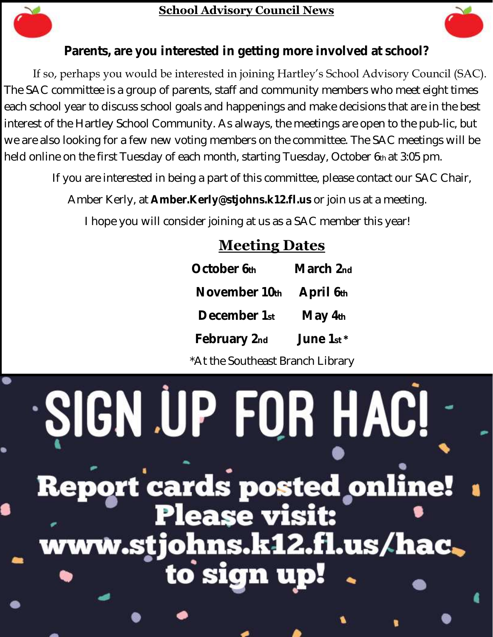

#### **School Advisory Council News**



**Parents, are you interested in getting more involved at school?** 

If so, perhaps you would be interested in joining Hartley's School Advisory Council (SAC). The SAC committee is a group of parents, staff and community members who meet eight times each school year to discuss school goals and happenings and make decisions that are in the best interest of the Hartley School Community. As always, the meetings are open to the pub-lic, but we are also looking for a few new voting members on the committee. The SAC meetings will be held online on the first Tuesday of each month, starting Tuesday, October 6th at 3:05 pm.

If you are interested in being a part of this committee, please contact our SAC Chair,

Amber Kerly, at **Amber.Kerly@stjohns.k12.fl.us** or join us at a meeting.

I hope you will consider joining at us as a SAC member this year!

## **Meeting Dates**

| October 6th   | March 2nd |
|---------------|-----------|
| November 10th | April 6th |
| December 1st  | May 4th   |
| February 2nd  | June 1st* |
|               |           |

\*At the Southeast Branch Library

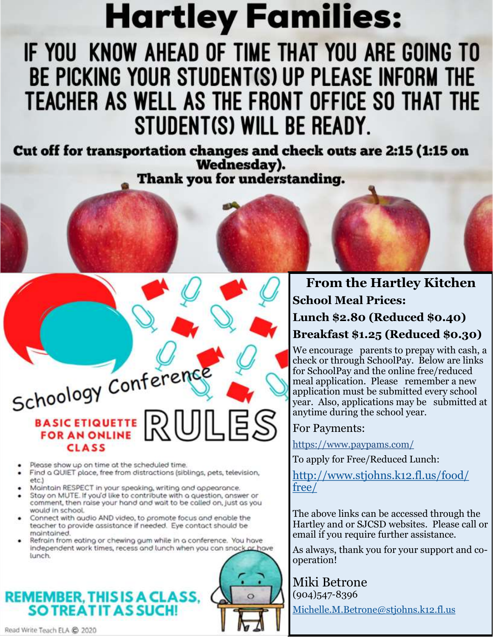# **Hartley Families:**

# IF YOU KNOW AHEAD OF TIME THAT YOU ARE GOING TO BE PICKING YOUR STUDENT(S) UP PLEASE INFORM THE TEACHER AS WELL AS THE FRONT OFFICE SO THAT THE STUDENT(S) WILL BE READY.

Cut off for transportation changes and check outs are 2:15 (1:15 on Wednesday). Thank you for understanding.

Schoology Conference BASIC ETIQUETTE DU **CLASS** 

- Please show up on time at the scheduled time.
- Find a QUIET place, free from distractions (siblings, pets, television,  $etc.$
- Maintain RESPECT in your speaking, writing and appearance.
- Stay on MUTE. If you'd like to contribute with a question, answer or comment, then raise your hand and wait to be called on, just as you would in school.
- Connect with audio AND video, to promote focus and enable the teacher to provide assistance if needed. Eye contact should be maintained.
- Refrain from eating or chewing gum while in a conference. You have independent work times, recess and lunch when you can snack or have lunch.

### **REMEMBER, THIS IS A CLASS, SO TREAT IT AS SUCH!**

### **From the Hartley Kitchen School Meal Prices: Lunch \$2.80 (Reduced \$0.40) Breakfast \$1.25 (Reduced \$0.30)**

We encourage parents to prepay with cash, a check or through SchoolPay. Below are links for SchoolPay and the online free/reduced meal application. Please remember a new application must be submitted every school year. Also, applications may be submitted at anytime during the school year.

#### For Payments:

https://www.paypams.com/

To apply for Free/Reduced Lunch:

[http://www.stjohns.k12.fl.us/food/](https://nam05.safelinks.protection.outlook.com/?url=http%3A%2F%2Fwww.stjohns.k12.fl.us%2Ffood%2Ffree%2F&data=02%7C01%7CJacey.Gwaltney%40stjohns.k12.fl.us%7Cc2e05a544dcb4c2375b508d795e4036e%7Cb3b3d057fc124f3f92f472be6e844351%7C0%7C0%7C637142678850922055&sdata=) [free/](https://nam05.safelinks.protection.outlook.com/?url=http%3A%2F%2Fwww.stjohns.k12.fl.us%2Ffood%2Ffree%2F&data=02%7C01%7CJacey.Gwaltney%40stjohns.k12.fl.us%7Cc2e05a544dcb4c2375b508d795e4036e%7Cb3b3d057fc124f3f92f472be6e844351%7C0%7C0%7C637142678850922055&sdata=)

The above links can be accessed through the Hartley and or SJCSD websites. Please call or email if you require further assistance.

As always, thank you for your support and cooperation!

Miki Betrone (904)547-8396 [Michelle.M.Betrone@stjohns.k12.fl.us](mailto:Michelle.M.Betrone@stjohns.k12.fl.us)

Read Write Teach ELA @ 2020